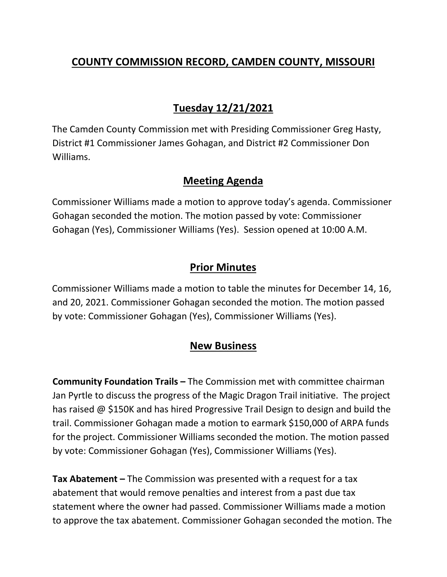## **COUNTY COMMISSION RECORD, CAMDEN COUNTY, MISSOURI**

# **Tuesday 12/21/2021**

The Camden County Commission met with Presiding Commissioner Greg Hasty, District #1 Commissioner James Gohagan, and District #2 Commissioner Don Williams.

### **Meeting Agenda**

Commissioner Williams made a motion to approve today's agenda. Commissioner Gohagan seconded the motion. The motion passed by vote: Commissioner Gohagan (Yes), Commissioner Williams (Yes). Session opened at 10:00 A.M.

### **Prior Minutes**

Commissioner Williams made a motion to table the minutes for December 14, 16, and 20, 2021. Commissioner Gohagan seconded the motion. The motion passed by vote: Commissioner Gohagan (Yes), Commissioner Williams (Yes).

### **New Business**

**Community Foundation Trails –** The Commission met with committee chairman Jan Pyrtle to discuss the progress of the Magic Dragon Trail initiative. The project has raised @ \$150K and has hired Progressive Trail Design to design and build the trail. Commissioner Gohagan made a motion to earmark \$150,000 of ARPA funds for the project. Commissioner Williams seconded the motion. The motion passed by vote: Commissioner Gohagan (Yes), Commissioner Williams (Yes).

**Tax Abatement –** The Commission was presented with a request for a tax abatement that would remove penalties and interest from a past due tax statement where the owner had passed. Commissioner Williams made a motion to approve the tax abatement. Commissioner Gohagan seconded the motion. The